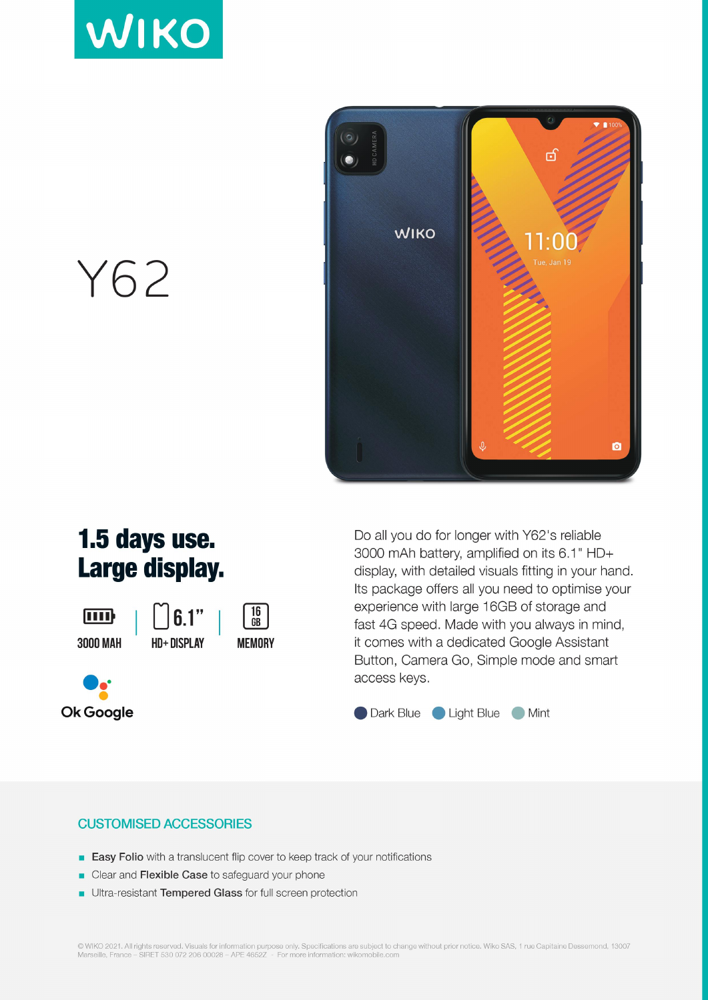



Y62

## 1.5 days use. Large display.

ामा **3000 MAH** 







Do all you do for longer with Y62's reliable 3000 mAh battery, amplified on its 6.1" HD+ display, with detailed visuals fitting in your hand. Its package offers all you need to optimise your experience with large 16GB of storage and fast 4G speed. Made with you always in mind, it comes with a dedicated Google Assistant Button, Camera Go, Simple mode and smart access keys.

Dark Blue Light Blue Mint

## **CUSTOMISED ACCESSORIES**

- **Easy Folio** with a translucent flip cover to keep track of your notifications
- Clear and Flexible Case to safeguard your phone
- Ultra-resistant Tempered Glass for full screen protection

© WIKO 2021. All rights reserved. Visuals for information purpose only. Specifications are subject to change without prior notice. Wiko SAS, 1 rue Capitaine Dessemond, 13007<br>Marseille, France – SIRET 530 072 206 00028 – AP